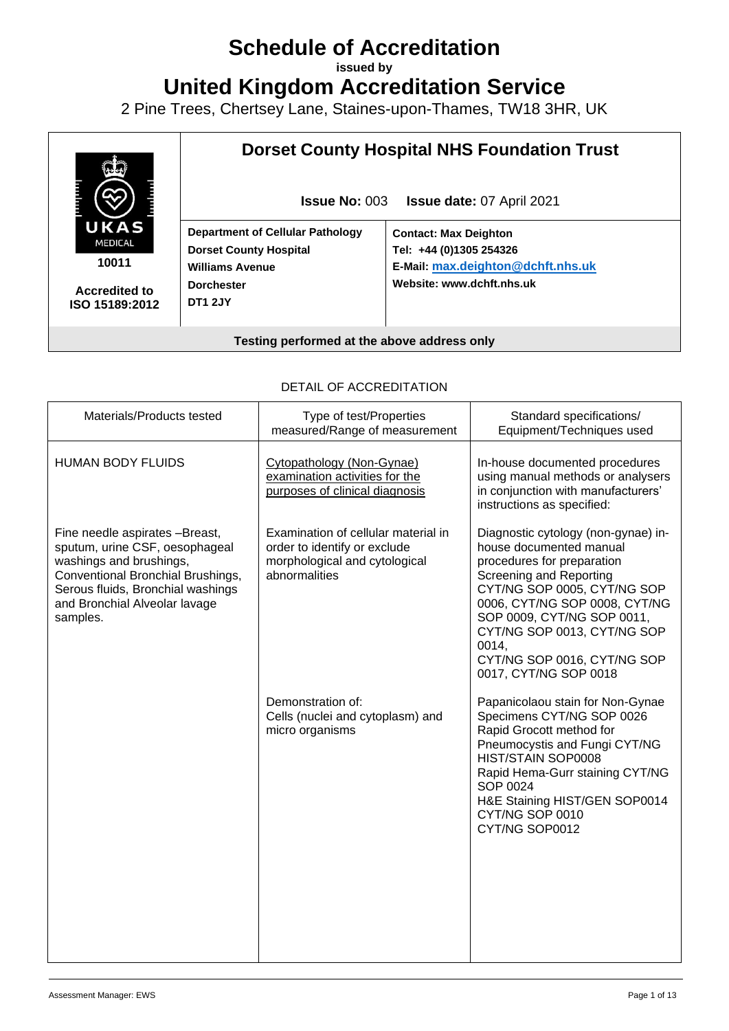# **Schedule of Accreditation**

**issued by**

**United Kingdom Accreditation Service**

2 Pine Trees, Chertsey Lane, Staines-upon-Thames, TW18 3HR, UK



**10011**

**Accredited to ISO 15189:2012**

### **Dorset County Hospital NHS Foundation Trust**

**Issue No:** 003 **Issue date:** 07 April 2021

**Department of Cellular Pathology Dorset County Hospital Williams Avenue Dorchester DT1 2JY**

**Contact: Max Deighton Tel: +44 (0)1305 254326 E-Mail: [max.deighton@dchft.nhs.uk](mailto:max.deighton@dchft.nhs.uk) Website[: www.dchft.nhs.uk](http://www.dchft.nhs.uk/)**

**Testing performed at the above address only**

#### DETAIL OF ACCREDITATION

| Materials/Products tested                                                                                                                                                                                          | Type of test/Properties<br>measured/Range of measurement                                                              | Standard specifications/<br>Equipment/Techniques used                                                                                                                                                                                                                                                                 |
|--------------------------------------------------------------------------------------------------------------------------------------------------------------------------------------------------------------------|-----------------------------------------------------------------------------------------------------------------------|-----------------------------------------------------------------------------------------------------------------------------------------------------------------------------------------------------------------------------------------------------------------------------------------------------------------------|
| <b>HUMAN BODY FLUIDS</b>                                                                                                                                                                                           | Cytopathology (Non-Gynae)<br>examination activities for the<br>purposes of clinical diagnosis                         | In-house documented procedures<br>using manual methods or analysers<br>in conjunction with manufacturers'<br>instructions as specified:                                                                                                                                                                               |
| Fine needle aspirates -Breast,<br>sputum, urine CSF, oesophageal<br>washings and brushings,<br>Conventional Bronchial Brushings,<br>Serous fluids, Bronchial washings<br>and Bronchial Alveolar lavage<br>samples. | Examination of cellular material in<br>order to identify or exclude<br>morphological and cytological<br>abnormalities | Diagnostic cytology (non-gynae) in-<br>house documented manual<br>procedures for preparation<br>Screening and Reporting<br>CYT/NG SOP 0005, CYT/NG SOP<br>0006, CYT/NG SOP 0008, CYT/NG<br>SOP 0009, CYT/NG SOP 0011,<br>CYT/NG SOP 0013, CYT/NG SOP<br>0014,<br>CYT/NG SOP 0016, CYT/NG SOP<br>0017, CYT/NG SOP 0018 |
|                                                                                                                                                                                                                    | Demonstration of:<br>Cells (nuclei and cytoplasm) and<br>micro organisms                                              | Papanicolaou stain for Non-Gynae<br>Specimens CYT/NG SOP 0026<br>Rapid Grocott method for<br>Pneumocystis and Fungi CYT/NG<br>HIST/STAIN SOP0008<br>Rapid Hema-Gurr staining CYT/NG<br>SOP 0024<br>H&E Staining HIST/GEN SOP0014<br>CYT/NG SOP 0010<br>CYT/NG SOP0012                                                 |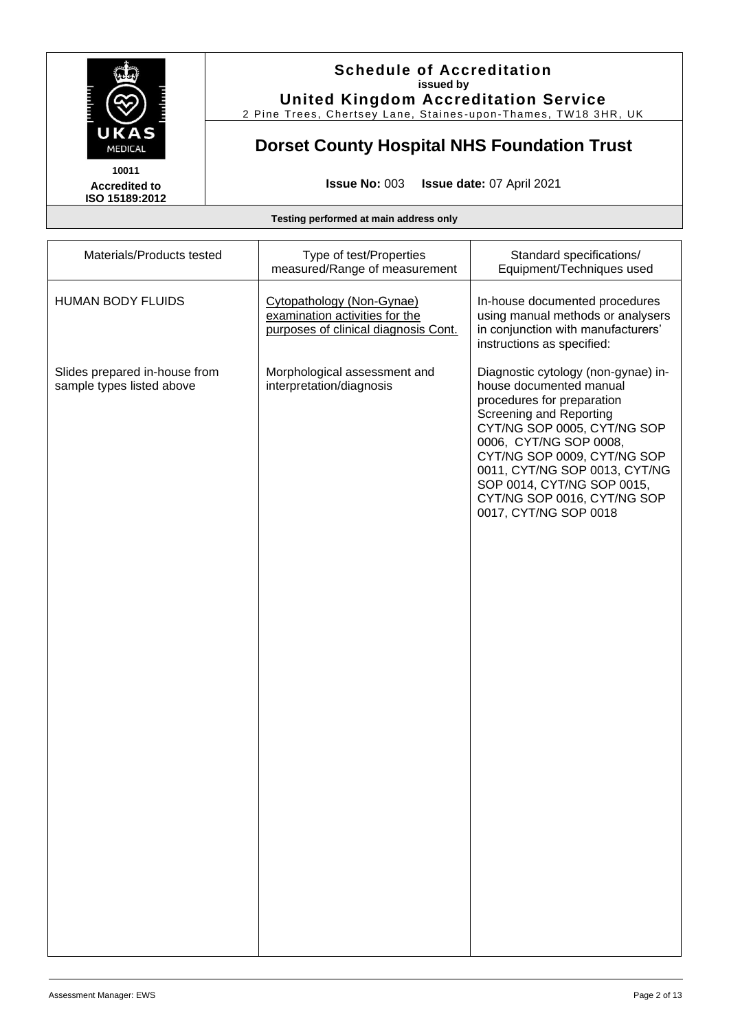

2 Pine Trees, Chertsey Lane, Staines -upon -Thames, TW18 3HR, UK

# **Dorset County Hospital NHS Foundation Trust**

**Accredited to ISO 15189:2012** 

**Issue No:** 003 **Issue date:** 07 April 2021

| Materials/Products tested                                  | Type of test/Properties<br>measured/Range of measurement                                            | Standard specifications/<br>Equipment/Techniques used                                                                                                                                                                                                                                                                                  |
|------------------------------------------------------------|-----------------------------------------------------------------------------------------------------|----------------------------------------------------------------------------------------------------------------------------------------------------------------------------------------------------------------------------------------------------------------------------------------------------------------------------------------|
| <b>HUMAN BODY FLUIDS</b>                                   | Cytopathology (Non-Gynae)<br>examination activities for the<br>purposes of clinical diagnosis Cont. | In-house documented procedures<br>using manual methods or analysers<br>in conjunction with manufacturers'<br>instructions as specified:                                                                                                                                                                                                |
| Slides prepared in-house from<br>sample types listed above | Morphological assessment and<br>interpretation/diagnosis                                            | Diagnostic cytology (non-gynae) in-<br>house documented manual<br>procedures for preparation<br>Screening and Reporting<br>CYT/NG SOP 0005, CYT/NG SOP<br>0006, CYT/NG SOP 0008,<br>CYT/NG SOP 0009, CYT/NG SOP<br>0011, CYT/NG SOP 0013, CYT/NG<br>SOP 0014, CYT/NG SOP 0015,<br>CYT/NG SOP 0016, CYT/NG SOP<br>0017, CYT/NG SOP 0018 |
|                                                            |                                                                                                     |                                                                                                                                                                                                                                                                                                                                        |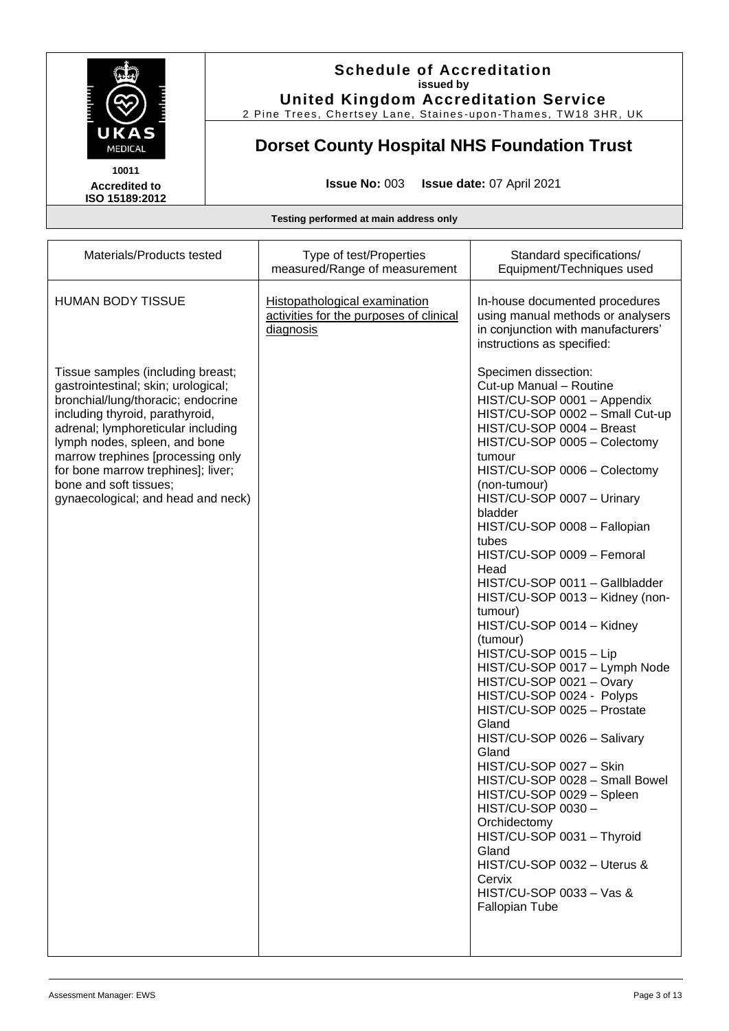

2 Pine Trees, Chertsey Lane, Staines -upon -Thames, TW18 3HR, UK

# **Dorset County Hospital NHS Foundation Trust**

**Accredited to ISO 15189:2012** 

**Issue No:** 003 **Issue date:** 07 April 2021

| Materials/Products tested                                                                                                                                                                                                                                                                                                                                           | Type of test/Properties<br>measured/Range of measurement                              | Standard specifications/<br>Equipment/Techniques used                                                                                                                                                                                                                                                                                                                                                                                                                                                                                                                                                                                                                                                                                                                                                                                                                                                                                                      |
|---------------------------------------------------------------------------------------------------------------------------------------------------------------------------------------------------------------------------------------------------------------------------------------------------------------------------------------------------------------------|---------------------------------------------------------------------------------------|------------------------------------------------------------------------------------------------------------------------------------------------------------------------------------------------------------------------------------------------------------------------------------------------------------------------------------------------------------------------------------------------------------------------------------------------------------------------------------------------------------------------------------------------------------------------------------------------------------------------------------------------------------------------------------------------------------------------------------------------------------------------------------------------------------------------------------------------------------------------------------------------------------------------------------------------------------|
| <b>HUMAN BODY TISSUE</b>                                                                                                                                                                                                                                                                                                                                            | Histopathological examination<br>activities for the purposes of clinical<br>diagnosis | In-house documented procedures<br>using manual methods or analysers<br>in conjunction with manufacturers'<br>instructions as specified:                                                                                                                                                                                                                                                                                                                                                                                                                                                                                                                                                                                                                                                                                                                                                                                                                    |
| Tissue samples (including breast;<br>gastrointestinal; skin; urological;<br>bronchial/lung/thoracic; endocrine<br>including thyroid, parathyroid,<br>adrenal; lymphoreticular including<br>lymph nodes, spleen, and bone<br>marrow trephines [processing only<br>for bone marrow trephines]; liver;<br>bone and soft tissues;<br>gynaecological; and head and neck) |                                                                                       | Specimen dissection:<br>Cut-up Manual - Routine<br>HIST/CU-SOP 0001 - Appendix<br>HIST/CU-SOP 0002 - Small Cut-up<br>HIST/CU-SOP 0004 - Breast<br>HIST/CU-SOP 0005 - Colectomy<br>tumour<br>HIST/CU-SOP 0006 - Colectomy<br>(non-tumour)<br>HIST/CU-SOP 0007 - Urinary<br>bladder<br>HIST/CU-SOP 0008 - Fallopian<br>tubes<br>HIST/CU-SOP 0009 - Femoral<br>Head<br>HIST/CU-SOP 0011 - Gallbladder<br>HIST/CU-SOP 0013 - Kidney (non-<br>tumour)<br>HIST/CU-SOP 0014 - Kidney<br>(tumour)<br>HIST/CU-SOP 0015 - Lip<br>HIST/CU-SOP 0017 - Lymph Node<br>HIST/CU-SOP 0021 - Ovary<br>HIST/CU-SOP 0024 - Polyps<br>HIST/CU-SOP 0025 - Prostate<br>Gland<br>HIST/CU-SOP 0026 - Salivary<br>Gland<br>HIST/CU-SOP 0027 - Skin<br>HIST/CU-SOP 0028 - Small Bowel<br>HIST/CU-SOP 0029 - Spleen<br>HIST/CU-SOP 0030-<br>Orchidectomy<br>HIST/CU-SOP 0031 - Thyroid<br>Gland<br>HIST/CU-SOP 0032 - Uterus &<br>Cervix<br>HIST/CU-SOP 0033 - Vas &<br>Fallopian Tube |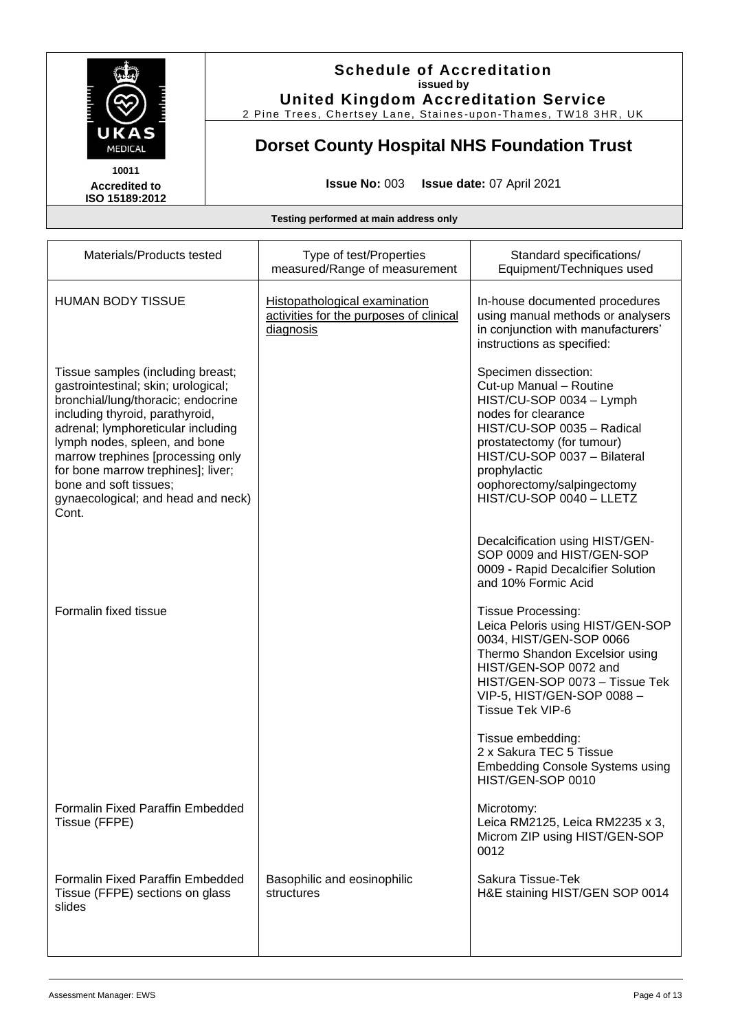

2 Pine Trees, Chertsey Lane, Staines -upon -Thames, TW18 3HR, UK

### **Dorset County Hospital NHS Foundation Trust**

**Accredited to ISO 15189:2012** 

**Issue No:** 003 **Issue date:** 07 April 2021

| Materials/Products tested                                                                                                                                                                                                                                                                                                                                                    | Type of test/Properties<br>measured/Range of measurement                              | Standard specifications/<br>Equipment/Techniques used                                                                                                                                                                                                                    |
|------------------------------------------------------------------------------------------------------------------------------------------------------------------------------------------------------------------------------------------------------------------------------------------------------------------------------------------------------------------------------|---------------------------------------------------------------------------------------|--------------------------------------------------------------------------------------------------------------------------------------------------------------------------------------------------------------------------------------------------------------------------|
| <b>HUMAN BODY TISSUE</b>                                                                                                                                                                                                                                                                                                                                                     | Histopathological examination<br>activities for the purposes of clinical<br>diagnosis | In-house documented procedures<br>using manual methods or analysers<br>in conjunction with manufacturers'<br>instructions as specified:                                                                                                                                  |
| Tissue samples (including breast;<br>gastrointestinal; skin; urological;<br>bronchial/lung/thoracic; endocrine<br>including thyroid, parathyroid,<br>adrenal; lymphoreticular including<br>lymph nodes, spleen, and bone<br>marrow trephines [processing only<br>for bone marrow trephines]; liver;<br>bone and soft tissues;<br>gynaecological; and head and neck)<br>Cont. |                                                                                       | Specimen dissection:<br>Cut-up Manual - Routine<br>HIST/CU-SOP 0034 - Lymph<br>nodes for clearance<br>HIST/CU-SOP 0035 - Radical<br>prostatectomy (for tumour)<br>HIST/CU-SOP 0037 - Bilateral<br>prophylactic<br>oophorectomy/salpingectomy<br>HIST/CU-SOP 0040 - LLETZ |
|                                                                                                                                                                                                                                                                                                                                                                              |                                                                                       | Decalcification using HIST/GEN-<br>SOP 0009 and HIST/GEN-SOP<br>0009 - Rapid Decalcifier Solution<br>and 10% Formic Acid                                                                                                                                                 |
| Formalin fixed tissue                                                                                                                                                                                                                                                                                                                                                        |                                                                                       | <b>Tissue Processing:</b><br>Leica Peloris using HIST/GEN-SOP<br>0034, HIST/GEN-SOP 0066<br>Thermo Shandon Excelsior using<br>HIST/GEN-SOP 0072 and<br>HIST/GEN-SOP 0073 - Tissue Tek<br>VIP-5, HIST/GEN-SOP 0088-<br>Tissue Tek VIP-6                                   |
|                                                                                                                                                                                                                                                                                                                                                                              |                                                                                       | Tissue embedding:<br>2 x Sakura TEC 5 Tissue<br><b>Embedding Console Systems using</b><br>HIST/GEN-SOP 0010                                                                                                                                                              |
| <b>Formalin Fixed Paraffin Embedded</b><br>Tissue (FFPE)                                                                                                                                                                                                                                                                                                                     |                                                                                       | Microtomy:<br>Leica RM2125, Leica RM2235 x 3,<br>Microm ZIP using HIST/GEN-SOP<br>0012                                                                                                                                                                                   |
| <b>Formalin Fixed Paraffin Embedded</b><br>Tissue (FFPE) sections on glass<br>slides                                                                                                                                                                                                                                                                                         | Basophilic and eosinophilic<br>structures                                             | Sakura Tissue-Tek<br>H&E staining HIST/GEN SOP 0014                                                                                                                                                                                                                      |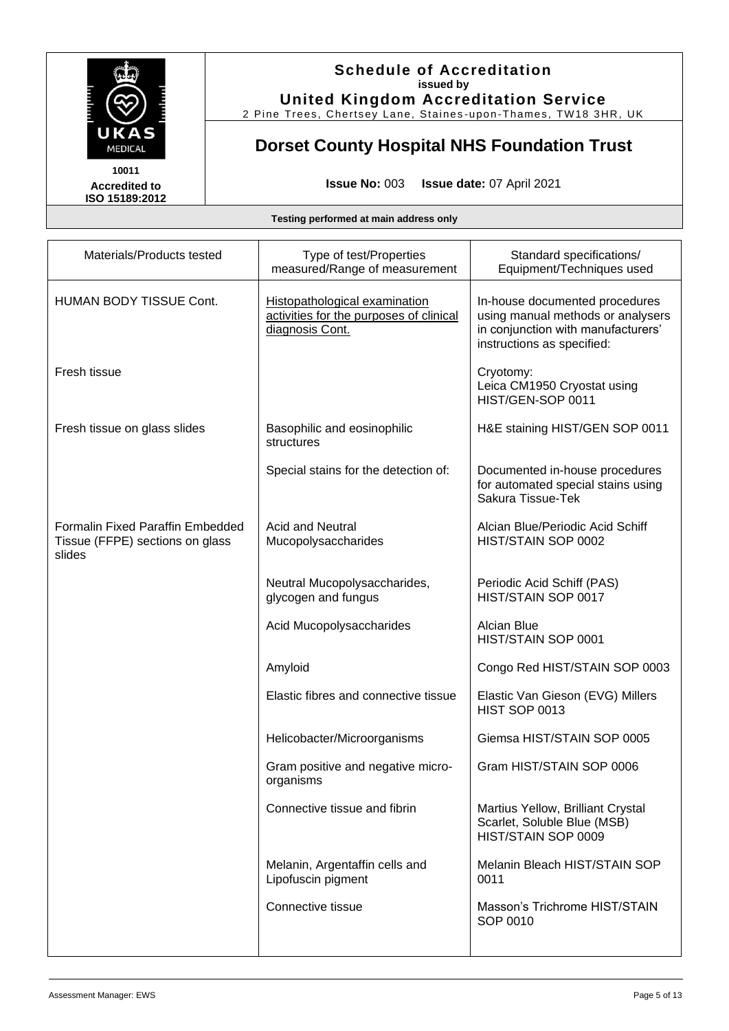

2 Pine Trees, Chertsey Lane, Staines -upon -Thames, TW18 3HR, UK

# **Dorset County Hospital NHS Foundation Trust**

**Accredited to ISO 15189:2012** 

**Issue No:** 003 **Issue date:** 07 April 2021

| Materials/Products tested                                                            | Type of test/Properties<br>measured/Range of measurement                                    | Standard specifications/<br>Equipment/Techniques used                                                                                   |
|--------------------------------------------------------------------------------------|---------------------------------------------------------------------------------------------|-----------------------------------------------------------------------------------------------------------------------------------------|
| <b>HUMAN BODY TISSUE Cont.</b>                                                       | Histopathological examination<br>activities for the purposes of clinical<br>diagnosis Cont. | In-house documented procedures<br>using manual methods or analysers<br>in conjunction with manufacturers'<br>instructions as specified: |
| Fresh tissue                                                                         |                                                                                             | Cryotomy:<br>Leica CM1950 Cryostat using<br>HIST/GEN-SOP 0011                                                                           |
| Fresh tissue on glass slides                                                         | Basophilic and eosinophilic<br>structures                                                   | H&E staining HIST/GEN SOP 0011                                                                                                          |
|                                                                                      | Special stains for the detection of:                                                        | Documented in-house procedures<br>for automated special stains using<br>Sakura Tissue-Tek                                               |
| <b>Formalin Fixed Paraffin Embedded</b><br>Tissue (FFPE) sections on glass<br>slides | <b>Acid and Neutral</b><br>Mucopolysaccharides                                              | Alcian Blue/Periodic Acid Schiff<br>HIST/STAIN SOP 0002                                                                                 |
|                                                                                      | Neutral Mucopolysaccharides,<br>glycogen and fungus                                         | Periodic Acid Schiff (PAS)<br>HIST/STAIN SOP 0017                                                                                       |
|                                                                                      | Acid Mucopolysaccharides                                                                    | Alcian Blue<br>HIST/STAIN SOP 0001                                                                                                      |
|                                                                                      | Amyloid                                                                                     | Congo Red HIST/STAIN SOP 0003                                                                                                           |
|                                                                                      | Elastic fibres and connective tissue                                                        | Elastic Van Gieson (EVG) Millers<br>HIST SOP 0013                                                                                       |
|                                                                                      | Helicobacter/Microorganisms                                                                 | Giemsa HIST/STAIN SOP 0005                                                                                                              |
|                                                                                      | Gram positive and negative micro-<br>organisms                                              | Gram HIST/STAIN SOP 0006                                                                                                                |
|                                                                                      | Connective tissue and fibrin                                                                | Martius Yellow, Brilliant Crystal<br>Scarlet, Soluble Blue (MSB)<br>HIST/STAIN SOP 0009                                                 |
|                                                                                      | Melanin, Argentaffin cells and<br>Lipofuscin pigment                                        | Melanin Bleach HIST/STAIN SOP<br>0011                                                                                                   |
|                                                                                      | Connective tissue                                                                           | Masson's Trichrome HIST/STAIN<br>SOP 0010                                                                                               |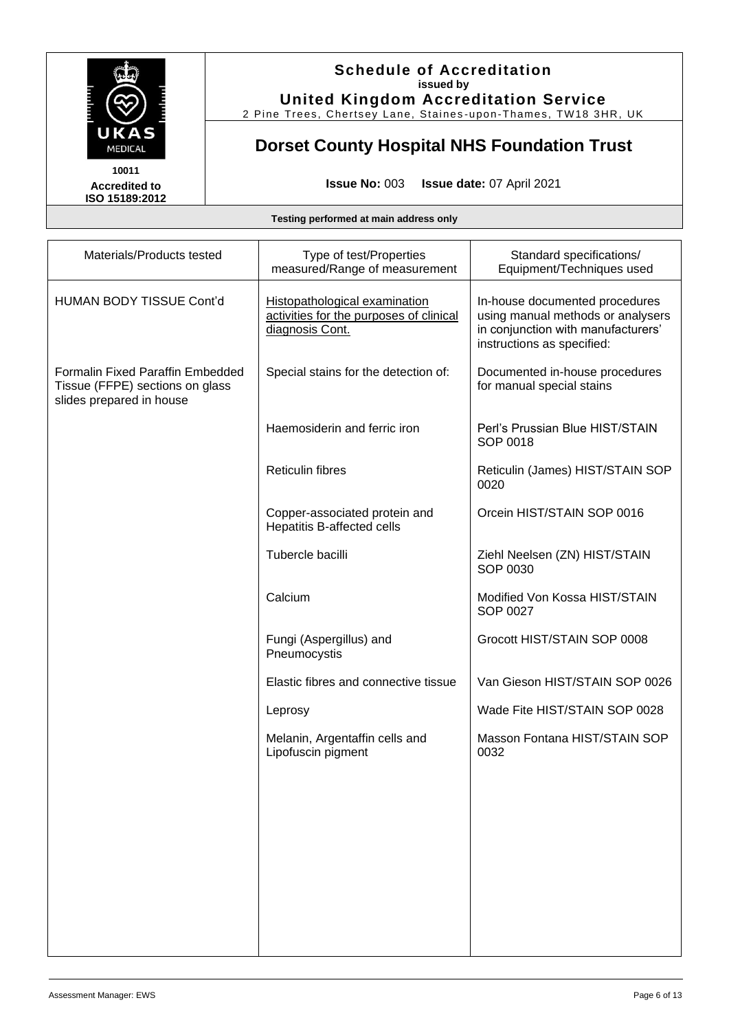

2 Pine Trees, Chertsey Lane, Staines -upon -Thames, TW18 3HR, UK

### **Dorset County Hospital NHS Foundation Trust**

**Accredited to ISO 15189:2012** 

**Issue No:** 003 **Issue date:** 07 April 2021

| Materials/Products tested                                                                              | Type of test/Properties<br>measured/Range of measurement                                           | Standard specifications/<br>Equipment/Techniques used                                                                                   |
|--------------------------------------------------------------------------------------------------------|----------------------------------------------------------------------------------------------------|-----------------------------------------------------------------------------------------------------------------------------------------|
| <b>HUMAN BODY TISSUE Cont'd</b>                                                                        | <b>Histopathological examination</b><br>activities for the purposes of clinical<br>diagnosis Cont. | In-house documented procedures<br>using manual methods or analysers<br>in conjunction with manufacturers'<br>instructions as specified: |
| <b>Formalin Fixed Paraffin Embedded</b><br>Tissue (FFPE) sections on glass<br>slides prepared in house | Special stains for the detection of:                                                               | Documented in-house procedures<br>for manual special stains                                                                             |
|                                                                                                        | Haemosiderin and ferric iron                                                                       | Perl's Prussian Blue HIST/STAIN<br>SOP 0018                                                                                             |
|                                                                                                        | <b>Reticulin fibres</b>                                                                            | Reticulin (James) HIST/STAIN SOP<br>0020                                                                                                |
|                                                                                                        | Copper-associated protein and<br>Hepatitis B-affected cells                                        | Orcein HIST/STAIN SOP 0016                                                                                                              |
|                                                                                                        | Tubercle bacilli                                                                                   | Ziehl Neelsen (ZN) HIST/STAIN<br>SOP 0030                                                                                               |
|                                                                                                        | Calcium                                                                                            | Modified Von Kossa HIST/STAIN<br>SOP 0027                                                                                               |
|                                                                                                        | Fungi (Aspergillus) and<br>Pneumocystis                                                            | Grocott HIST/STAIN SOP 0008                                                                                                             |
|                                                                                                        | Elastic fibres and connective tissue                                                               | Van Gieson HIST/STAIN SOP 0026                                                                                                          |
|                                                                                                        | Leprosy                                                                                            | Wade Fite HIST/STAIN SOP 0028                                                                                                           |
|                                                                                                        | Melanin, Argentaffin cells and<br>Lipofuscin pigment                                               | Masson Fontana HIST/STAIN SOP<br>0032                                                                                                   |
|                                                                                                        |                                                                                                    |                                                                                                                                         |
|                                                                                                        |                                                                                                    |                                                                                                                                         |
|                                                                                                        |                                                                                                    |                                                                                                                                         |
|                                                                                                        |                                                                                                    |                                                                                                                                         |
|                                                                                                        |                                                                                                    |                                                                                                                                         |
|                                                                                                        |                                                                                                    |                                                                                                                                         |
|                                                                                                        |                                                                                                    |                                                                                                                                         |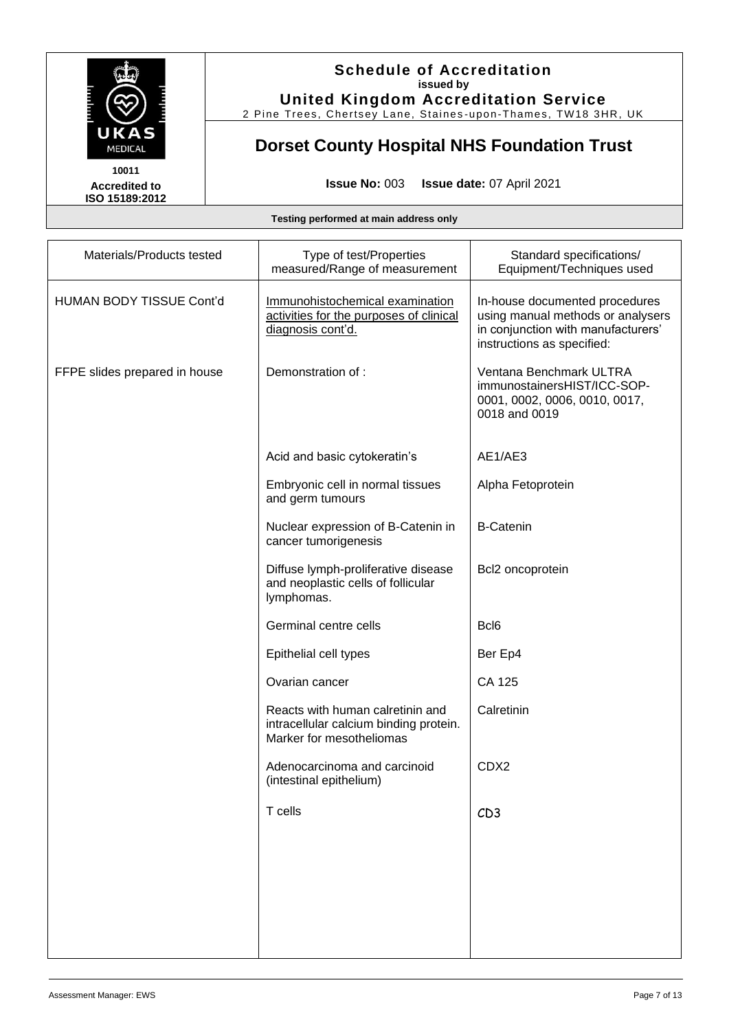

2 Pine Trees, Chertsey Lane, Staines -upon -Thames, TW18 3HR, UK

### **Dorset County Hospital NHS Foundation Trust**

**Accredited to ISO 15189:2012** 

**Issue No:** 003 **Issue date:** 07 April 2021

| Materials/Products tested       | Type of test/Properties<br>measured/Range of measurement                                               | Standard specifications/<br>Equipment/Techniques used                                                                                   |
|---------------------------------|--------------------------------------------------------------------------------------------------------|-----------------------------------------------------------------------------------------------------------------------------------------|
| <b>HUMAN BODY TISSUE Cont'd</b> | Immunohistochemical examination<br>activities for the purposes of clinical<br>diagnosis cont'd.        | In-house documented procedures<br>using manual methods or analysers<br>in conjunction with manufacturers'<br>instructions as specified: |
| FFPE slides prepared in house   | Demonstration of:                                                                                      | Ventana Benchmark ULTRA<br>immunostainersHIST/ICC-SOP-<br>0001, 0002, 0006, 0010, 0017,<br>0018 and 0019                                |
|                                 | Acid and basic cytokeratin's                                                                           | AE1/AE3                                                                                                                                 |
|                                 | Embryonic cell in normal tissues<br>and germ tumours                                                   | Alpha Fetoprotein                                                                                                                       |
|                                 | Nuclear expression of B-Catenin in<br>cancer tumorigenesis                                             | <b>B-Catenin</b>                                                                                                                        |
|                                 | Diffuse lymph-proliferative disease<br>and neoplastic cells of follicular<br>lymphomas.                | Bcl2 oncoprotein                                                                                                                        |
|                                 | Germinal centre cells                                                                                  | Bcl <sub>6</sub>                                                                                                                        |
|                                 | Epithelial cell types                                                                                  | Ber Ep4                                                                                                                                 |
|                                 | Ovarian cancer                                                                                         | CA 125                                                                                                                                  |
|                                 | Reacts with human calretinin and<br>intracellular calcium binding protein.<br>Marker for mesotheliomas | Calretinin                                                                                                                              |
|                                 | Adenocarcinoma and carcinoid<br>(intestinal epithelium)                                                | CDX2                                                                                                                                    |
|                                 | T cells                                                                                                | CD3                                                                                                                                     |
|                                 |                                                                                                        |                                                                                                                                         |
|                                 |                                                                                                        |                                                                                                                                         |
|                                 |                                                                                                        |                                                                                                                                         |
|                                 |                                                                                                        |                                                                                                                                         |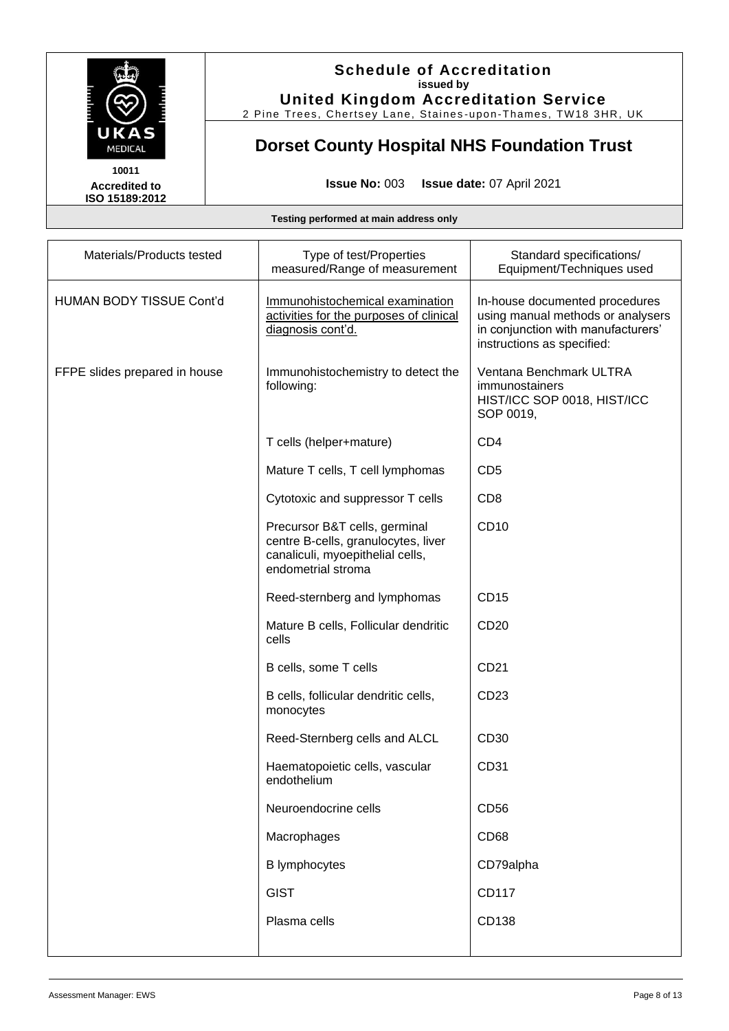

2 Pine Trees, Chertsey Lane, Staines -upon -Thames, TW18 3HR, UK

# **Dorset County Hospital NHS Foundation Trust**

**Accredited to ISO 15189:2012** 

**Issue No:** 003 **Issue date:** 07 April 2021

| Materials/Products tested       | Type of test/Properties<br>measured/Range of measurement                                                                       | Standard specifications/<br>Equipment/Techniques used                                                                                   |
|---------------------------------|--------------------------------------------------------------------------------------------------------------------------------|-----------------------------------------------------------------------------------------------------------------------------------------|
| <b>HUMAN BODY TISSUE Cont'd</b> | Immunohistochemical examination<br>activities for the purposes of clinical<br>diagnosis cont'd.                                | In-house documented procedures<br>using manual methods or analysers<br>in conjunction with manufacturers'<br>instructions as specified: |
| FFPE slides prepared in house   | Immunohistochemistry to detect the<br>following:                                                                               | Ventana Benchmark ULTRA<br>immunostainers<br>HIST/ICC SOP 0018, HIST/ICC<br>SOP 0019,                                                   |
|                                 | T cells (helper+mature)                                                                                                        | CD <sub>4</sub>                                                                                                                         |
|                                 | Mature T cells, T cell lymphomas                                                                                               | CD <sub>5</sub>                                                                                                                         |
|                                 | Cytotoxic and suppressor T cells                                                                                               | CD <sub>8</sub>                                                                                                                         |
|                                 | Precursor B&T cells, germinal<br>centre B-cells, granulocytes, liver<br>canaliculi, myoepithelial cells,<br>endometrial stroma | CD10                                                                                                                                    |
|                                 | Reed-sternberg and lymphomas                                                                                                   | <b>CD15</b>                                                                                                                             |
|                                 | Mature B cells, Follicular dendritic<br>cells                                                                                  | CD <sub>20</sub>                                                                                                                        |
|                                 | B cells, some T cells                                                                                                          | CD21                                                                                                                                    |
|                                 | B cells, follicular dendritic cells,<br>monocytes                                                                              | CD <sub>23</sub>                                                                                                                        |
|                                 | Reed-Sternberg cells and ALCL                                                                                                  | CD30                                                                                                                                    |
|                                 | Haematopoietic cells, vascular<br>endothelium                                                                                  | CD31                                                                                                                                    |
|                                 | Neuroendocrine cells                                                                                                           | CD56                                                                                                                                    |
|                                 | Macrophages                                                                                                                    | <b>CD68</b>                                                                                                                             |
|                                 | <b>B</b> lymphocytes                                                                                                           | CD79alpha                                                                                                                               |
|                                 | <b>GIST</b>                                                                                                                    | CD117                                                                                                                                   |
|                                 | Plasma cells                                                                                                                   | CD138                                                                                                                                   |
|                                 |                                                                                                                                |                                                                                                                                         |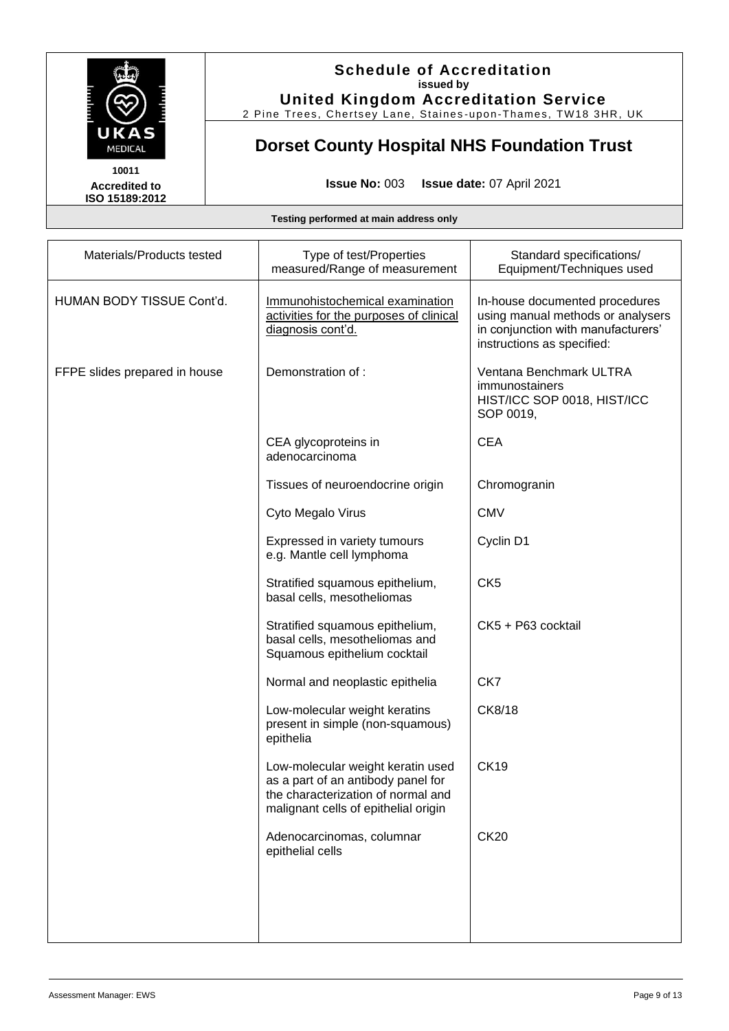

2 Pine Trees, Chertsey Lane, Staines -upon -Thames, TW18 3HR, UK

# **Dorset County Hospital NHS Foundation Trust**

**Accredited to ISO 15189:2012** 

**Issue No:** 003 **Issue date:** 07 April 2021

| Materials/Products tested     | Type of test/Properties<br>measured/Range of measurement                                                                                              | Standard specifications/<br>Equipment/Techniques used                                                                                   |
|-------------------------------|-------------------------------------------------------------------------------------------------------------------------------------------------------|-----------------------------------------------------------------------------------------------------------------------------------------|
| HUMAN BODY TISSUE Cont'd.     | Immunohistochemical examination<br>activities for the purposes of clinical<br>diagnosis cont'd.                                                       | In-house documented procedures<br>using manual methods or analysers<br>in conjunction with manufacturers'<br>instructions as specified: |
| FFPE slides prepared in house | Demonstration of :                                                                                                                                    | Ventana Benchmark ULTRA<br>immunostainers<br>HIST/ICC SOP 0018, HIST/ICC<br>SOP 0019,                                                   |
|                               | CEA glycoproteins in<br>adenocarcinoma                                                                                                                | <b>CEA</b>                                                                                                                              |
|                               | Tissues of neuroendocrine origin                                                                                                                      | Chromogranin                                                                                                                            |
|                               | Cyto Megalo Virus                                                                                                                                     | <b>CMV</b>                                                                                                                              |
|                               | Expressed in variety tumours<br>e.g. Mantle cell lymphoma                                                                                             | Cyclin D1                                                                                                                               |
|                               | Stratified squamous epithelium,<br>basal cells, mesotheliomas                                                                                         | CK <sub>5</sub>                                                                                                                         |
|                               | Stratified squamous epithelium,<br>basal cells, mesotheliomas and<br>Squamous epithelium cocktail                                                     | CK5 + P63 cocktail                                                                                                                      |
|                               | Normal and neoplastic epithelia                                                                                                                       | CK7                                                                                                                                     |
|                               | Low-molecular weight keratins<br>present in simple (non-squamous)<br>epithelia                                                                        | CK8/18                                                                                                                                  |
|                               | Low-molecular weight keratin used<br>as a part of an antibody panel for<br>the characterization of normal and<br>malignant cells of epithelial origin | <b>CK19</b>                                                                                                                             |
|                               | Adenocarcinomas, columnar<br>epithelial cells                                                                                                         | <b>CK20</b>                                                                                                                             |
|                               |                                                                                                                                                       |                                                                                                                                         |
|                               |                                                                                                                                                       |                                                                                                                                         |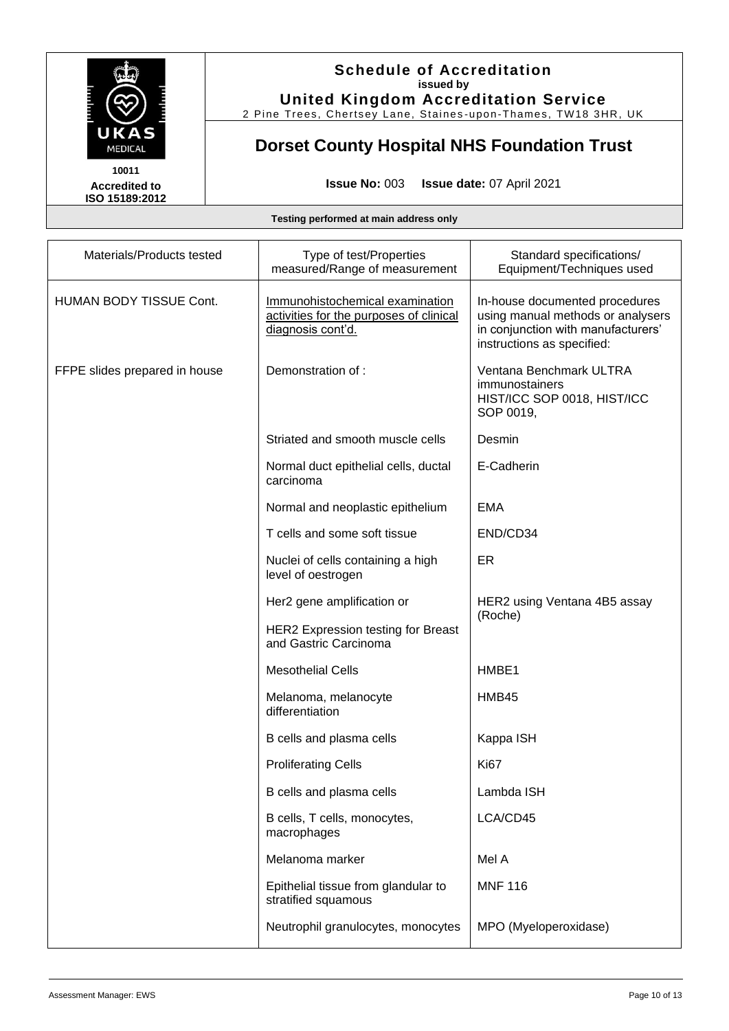

2 Pine Trees, Chertsey Lane, Staines -upon -Thames, TW18 3HR, UK

# **Dorset County Hospital NHS Foundation Trust**

**Accredited to ISO 15189:2012** 

**Issue No:** 003 **Issue date:** 07 April 2021

| Materials/Products tested     | Type of test/Properties<br>measured/Range of measurement                                        | Standard specifications/<br>Equipment/Techniques used                                                                                   |
|-------------------------------|-------------------------------------------------------------------------------------------------|-----------------------------------------------------------------------------------------------------------------------------------------|
| HUMAN BODY TISSUE Cont.       | Immunohistochemical examination<br>activities for the purposes of clinical<br>diagnosis cont'd. | In-house documented procedures<br>using manual methods or analysers<br>in conjunction with manufacturers'<br>instructions as specified: |
| FFPE slides prepared in house | Demonstration of:                                                                               | Ventana Benchmark ULTRA<br>immunostainers<br>HIST/ICC SOP 0018, HIST/ICC<br>SOP 0019,                                                   |
|                               | Striated and smooth muscle cells                                                                | Desmin                                                                                                                                  |
|                               | Normal duct epithelial cells, ductal<br>carcinoma                                               | E-Cadherin                                                                                                                              |
|                               | Normal and neoplastic epithelium                                                                | <b>EMA</b>                                                                                                                              |
|                               | T cells and some soft tissue                                                                    | END/CD34                                                                                                                                |
|                               | Nuclei of cells containing a high<br>level of oestrogen                                         | ER                                                                                                                                      |
|                               | Her2 gene amplification or                                                                      | HER2 using Ventana 4B5 assay                                                                                                            |
|                               | HER2 Expression testing for Breast<br>and Gastric Carcinoma                                     | (Roche)                                                                                                                                 |
|                               | <b>Mesothelial Cells</b>                                                                        | HMBE1                                                                                                                                   |
|                               | Melanoma, melanocyte<br>differentiation                                                         | HMB45                                                                                                                                   |
|                               | B cells and plasma cells                                                                        | Kappa ISH                                                                                                                               |
|                               | <b>Proliferating Cells</b>                                                                      | Ki67                                                                                                                                    |
|                               | B cells and plasma cells                                                                        | Lambda ISH                                                                                                                              |
|                               | B cells, T cells, monocytes,<br>macrophages                                                     | LCA/CD45                                                                                                                                |
|                               | Melanoma marker                                                                                 | Mel A                                                                                                                                   |
|                               | Epithelial tissue from glandular to<br>stratified squamous                                      | <b>MNF 116</b>                                                                                                                          |
|                               | Neutrophil granulocytes, monocytes                                                              | MPO (Myeloperoxidase)                                                                                                                   |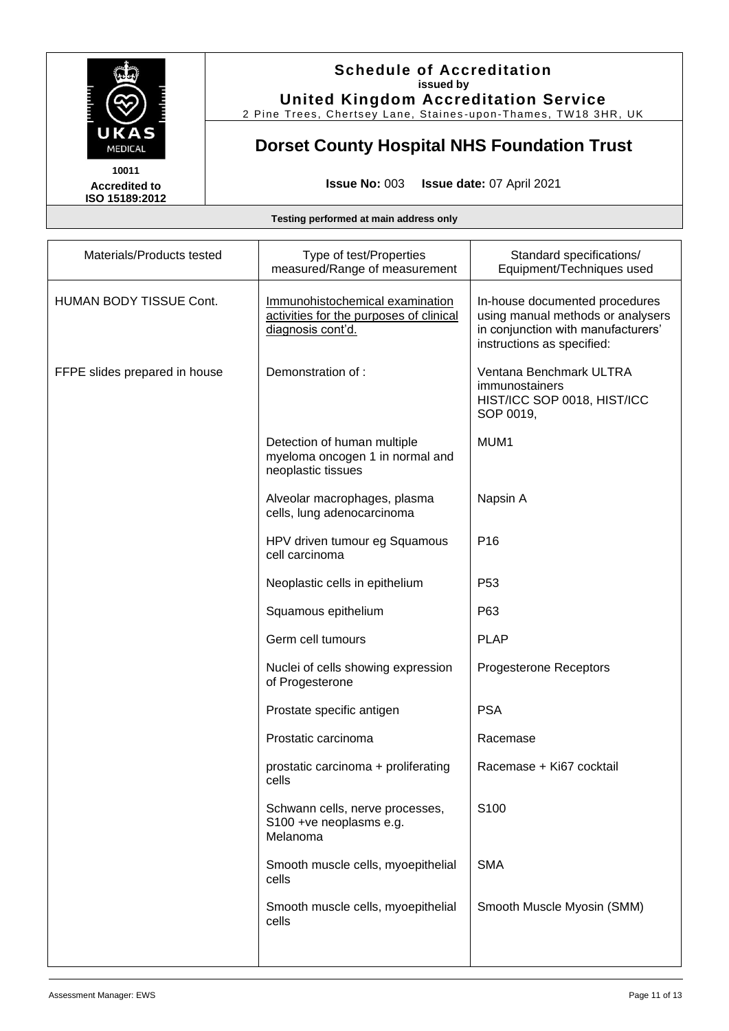

2 Pine Trees, Chertsey Lane, Staines -upon -Thames, TW18 3HR, UK

# **Dorset County Hospital NHS Foundation Trust**

**Accredited to ISO 15189:2012** 

**Issue No:** 003 **Issue date:** 07 April 2021

| Materials/Products tested     | Type of test/Properties<br>measured/Range of measurement                                        | Standard specifications/<br>Equipment/Techniques used                                                                                   |
|-------------------------------|-------------------------------------------------------------------------------------------------|-----------------------------------------------------------------------------------------------------------------------------------------|
| HUMAN BODY TISSUE Cont.       | Immunohistochemical examination<br>activities for the purposes of clinical<br>diagnosis cont'd. | In-house documented procedures<br>using manual methods or analysers<br>in conjunction with manufacturers'<br>instructions as specified: |
| FFPE slides prepared in house | Demonstration of :                                                                              | Ventana Benchmark ULTRA<br>immunostainers<br>HIST/ICC SOP 0018, HIST/ICC<br>SOP 0019,                                                   |
|                               | Detection of human multiple<br>myeloma oncogen 1 in normal and<br>neoplastic tissues            | MUM1                                                                                                                                    |
|                               | Alveolar macrophages, plasma<br>cells, lung adenocarcinoma                                      | Napsin A                                                                                                                                |
|                               | HPV driven tumour eg Squamous<br>cell carcinoma                                                 | P <sub>16</sub>                                                                                                                         |
|                               | Neoplastic cells in epithelium                                                                  | P <sub>53</sub>                                                                                                                         |
|                               | Squamous epithelium                                                                             | P63                                                                                                                                     |
|                               | Germ cell tumours                                                                               | <b>PLAP</b>                                                                                                                             |
|                               | Nuclei of cells showing expression<br>of Progesterone                                           | Progesterone Receptors                                                                                                                  |
|                               | Prostate specific antigen                                                                       | <b>PSA</b>                                                                                                                              |
|                               | Prostatic carcinoma                                                                             | Racemase                                                                                                                                |
|                               | prostatic carcinoma + proliferating<br>cells                                                    | Racemase + Ki67 cocktail                                                                                                                |
|                               | Schwann cells, nerve processes,<br>S100 +ve neoplasms e.g.<br>Melanoma                          | S100                                                                                                                                    |
|                               | Smooth muscle cells, myoepithelial<br>cells                                                     | <b>SMA</b>                                                                                                                              |
|                               | Smooth muscle cells, myoepithelial<br>cells                                                     | Smooth Muscle Myosin (SMM)                                                                                                              |
|                               |                                                                                                 |                                                                                                                                         |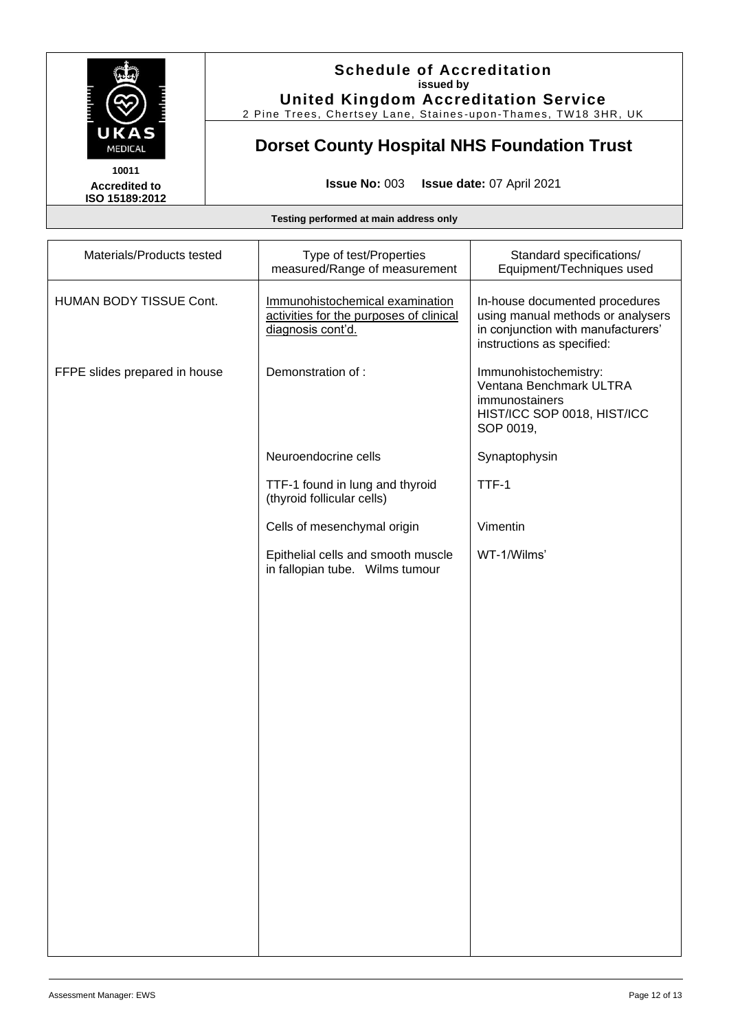

2 Pine Trees, Chertsey Lane, Staines -upon -Thames, TW18 3HR, UK

# **Dorset County Hospital NHS Foundation Trust**

**Accredited to ISO 15189:2012** 

**Issue No:** 003 **Issue date:** 07 April 2021

| Materials/Products tested     | Type of test/Properties<br>measured/Range of measurement                                        | Standard specifications/<br>Equipment/Techniques used                                                                                   |
|-------------------------------|-------------------------------------------------------------------------------------------------|-----------------------------------------------------------------------------------------------------------------------------------------|
| HUMAN BODY TISSUE Cont.       | Immunohistochemical examination<br>activities for the purposes of clinical<br>diagnosis cont'd. | In-house documented procedures<br>using manual methods or analysers<br>in conjunction with manufacturers'<br>instructions as specified: |
| FFPE slides prepared in house | Demonstration of:                                                                               | Immunohistochemistry:<br>Ventana Benchmark ULTRA<br>immunostainers<br>HIST/ICC SOP 0018, HIST/ICC<br>SOP 0019,                          |
|                               | Neuroendocrine cells                                                                            | Synaptophysin                                                                                                                           |
|                               | TTF-1 found in lung and thyroid<br>(thyroid follicular cells)                                   | TTF-1                                                                                                                                   |
|                               | Cells of mesenchymal origin                                                                     | Vimentin                                                                                                                                |
|                               | Epithelial cells and smooth muscle<br>in fallopian tube. Wilms tumour                           | WT-1/Wilms'                                                                                                                             |
|                               |                                                                                                 |                                                                                                                                         |
|                               |                                                                                                 |                                                                                                                                         |
|                               |                                                                                                 |                                                                                                                                         |
|                               |                                                                                                 |                                                                                                                                         |
|                               |                                                                                                 |                                                                                                                                         |
|                               |                                                                                                 |                                                                                                                                         |
|                               |                                                                                                 |                                                                                                                                         |
|                               |                                                                                                 |                                                                                                                                         |
|                               |                                                                                                 |                                                                                                                                         |
|                               |                                                                                                 |                                                                                                                                         |
|                               |                                                                                                 |                                                                                                                                         |